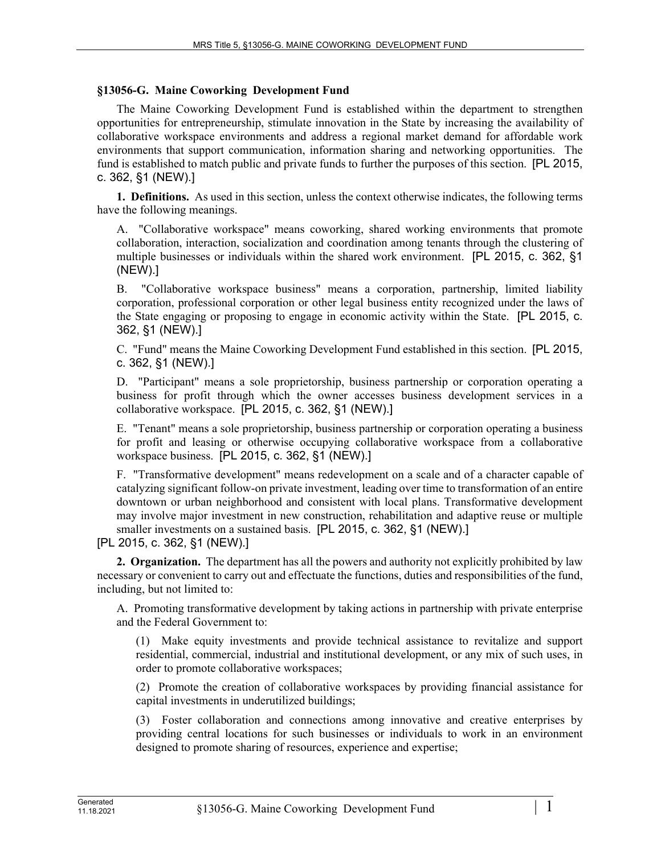## **§13056-G. Maine Coworking Development Fund**

The Maine Coworking Development Fund is established within the department to strengthen opportunities for entrepreneurship, stimulate innovation in the State by increasing the availability of collaborative workspace environments and address a regional market demand for affordable work environments that support communication, information sharing and networking opportunities. The fund is established to match public and private funds to further the purposes of this section. [PL 2015, c. 362, §1 (NEW).]

**1. Definitions.** As used in this section, unless the context otherwise indicates, the following terms have the following meanings.

A. "Collaborative workspace" means coworking, shared working environments that promote collaboration, interaction, socialization and coordination among tenants through the clustering of multiple businesses or individuals within the shared work environment. [PL 2015, c. 362, §1 (NEW).]

B. "Collaborative workspace business" means a corporation, partnership, limited liability corporation, professional corporation or other legal business entity recognized under the laws of the State engaging or proposing to engage in economic activity within the State. [PL 2015, c. 362, §1 (NEW).]

C. "Fund" means the Maine Coworking Development Fund established in this section. [PL 2015, c. 362, §1 (NEW).]

D. "Participant" means a sole proprietorship, business partnership or corporation operating a business for profit through which the owner accesses business development services in a collaborative workspace. [PL 2015, c. 362, §1 (NEW).]

E. "Tenant" means a sole proprietorship, business partnership or corporation operating a business for profit and leasing or otherwise occupying collaborative workspace from a collaborative workspace business. [PL 2015, c. 362, §1 (NEW).]

F. "Transformative development" means redevelopment on a scale and of a character capable of catalyzing significant follow-on private investment, leading over time to transformation of an entire downtown or urban neighborhood and consistent with local plans. Transformative development may involve major investment in new construction, rehabilitation and adaptive reuse or multiple smaller investments on a sustained basis. [PL 2015, c. 362, §1 (NEW).]

[PL 2015, c. 362, §1 (NEW).]

**2. Organization.** The department has all the powers and authority not explicitly prohibited by law necessary or convenient to carry out and effectuate the functions, duties and responsibilities of the fund, including, but not limited to:

A. Promoting transformative development by taking actions in partnership with private enterprise and the Federal Government to:

(1) Make equity investments and provide technical assistance to revitalize and support residential, commercial, industrial and institutional development, or any mix of such uses, in order to promote collaborative workspaces;

(2) Promote the creation of collaborative workspaces by providing financial assistance for capital investments in underutilized buildings;

(3) Foster collaboration and connections among innovative and creative enterprises by providing central locations for such businesses or individuals to work in an environment designed to promote sharing of resources, experience and expertise;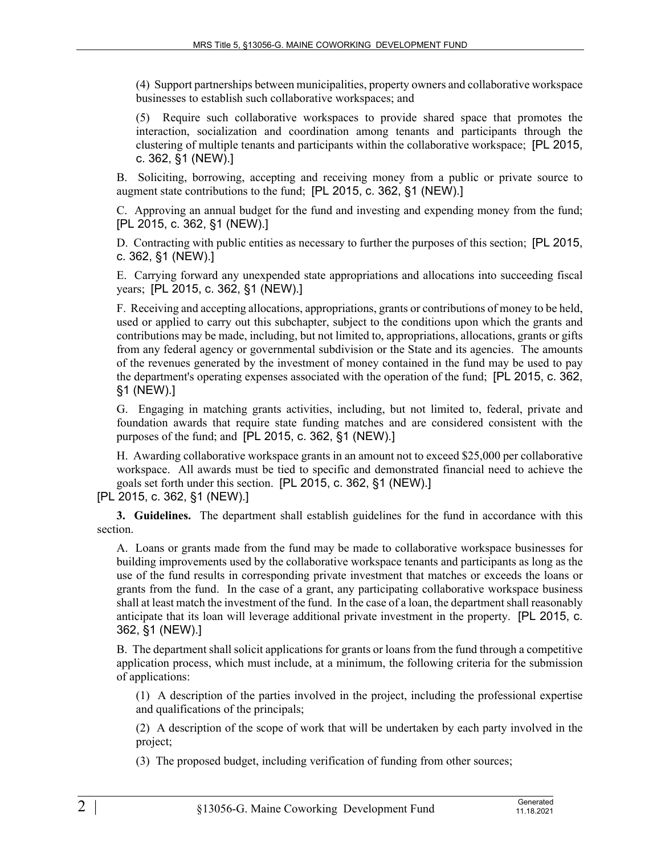(4) Support partnerships between municipalities, property owners and collaborative workspace businesses to establish such collaborative workspaces; and

(5) Require such collaborative workspaces to provide shared space that promotes the interaction, socialization and coordination among tenants and participants through the clustering of multiple tenants and participants within the collaborative workspace; [PL 2015, c. 362, §1 (NEW).]

B. Soliciting, borrowing, accepting and receiving money from a public or private source to augment state contributions to the fund; [PL 2015, c. 362, §1 (NEW).]

C. Approving an annual budget for the fund and investing and expending money from the fund; [PL 2015, c. 362, §1 (NEW).]

D. Contracting with public entities as necessary to further the purposes of this section; [PL 2015, c. 362, §1 (NEW).]

E. Carrying forward any unexpended state appropriations and allocations into succeeding fiscal years; [PL 2015, c. 362, §1 (NEW).]

F. Receiving and accepting allocations, appropriations, grants or contributions of money to be held, used or applied to carry out this subchapter, subject to the conditions upon which the grants and contributions may be made, including, but not limited to, appropriations, allocations, grants or gifts from any federal agency or governmental subdivision or the State and its agencies. The amounts of the revenues generated by the investment of money contained in the fund may be used to pay the department's operating expenses associated with the operation of the fund; [PL 2015, c. 362, §1 (NEW).]

G. Engaging in matching grants activities, including, but not limited to, federal, private and foundation awards that require state funding matches and are considered consistent with the purposes of the fund; and [PL 2015, c. 362, §1 (NEW).]

H. Awarding collaborative workspace grants in an amount not to exceed \$25,000 per collaborative workspace. All awards must be tied to specific and demonstrated financial need to achieve the goals set forth under this section. [PL 2015, c. 362, §1 (NEW).]

**3. Guidelines.** The department shall establish guidelines for the fund in accordance with this section.

A. Loans or grants made from the fund may be made to collaborative workspace businesses for building improvements used by the collaborative workspace tenants and participants as long as the use of the fund results in corresponding private investment that matches or exceeds the loans or grants from the fund. In the case of a grant, any participating collaborative workspace business shall at least match the investment of the fund. In the case of a loan, the department shall reasonably anticipate that its loan will leverage additional private investment in the property. [PL 2015, c. 362, §1 (NEW).]

B. The department shall solicit applications for grants or loans from the fund through a competitive application process, which must include, at a minimum, the following criteria for the submission of applications:

(1) A description of the parties involved in the project, including the professional expertise and qualifications of the principals;

(2) A description of the scope of work that will be undertaken by each party involved in the project;

(3) The proposed budget, including verification of funding from other sources;

<sup>[</sup>PL 2015, c. 362, §1 (NEW).]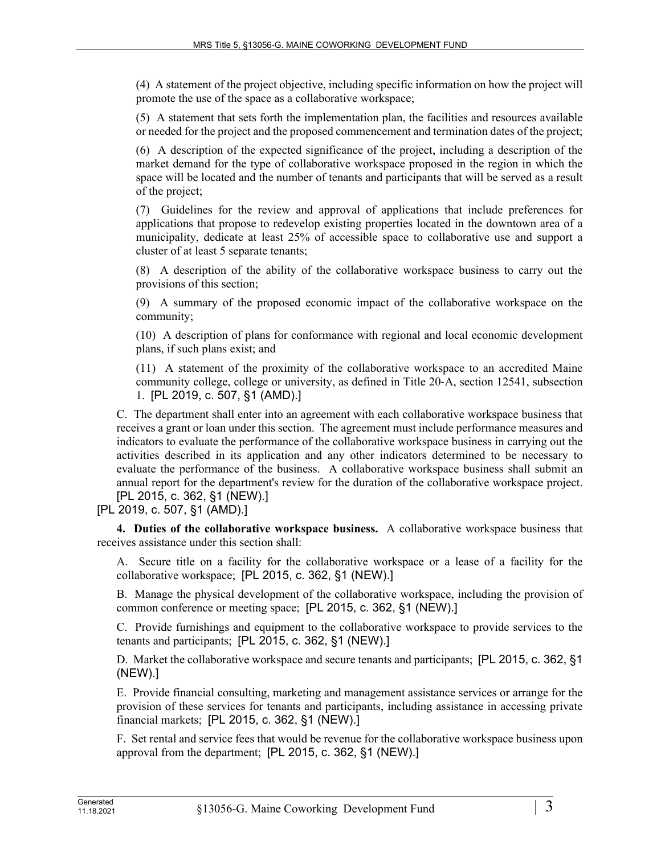(4) A statement of the project objective, including specific information on how the project will promote the use of the space as a collaborative workspace;

(5) A statement that sets forth the implementation plan, the facilities and resources available or needed for the project and the proposed commencement and termination dates of the project;

(6) A description of the expected significance of the project, including a description of the market demand for the type of collaborative workspace proposed in the region in which the space will be located and the number of tenants and participants that will be served as a result of the project;

(7) Guidelines for the review and approval of applications that include preferences for applications that propose to redevelop existing properties located in the downtown area of a municipality, dedicate at least 25% of accessible space to collaborative use and support a cluster of at least 5 separate tenants;

(8) A description of the ability of the collaborative workspace business to carry out the provisions of this section;

(9) A summary of the proposed economic impact of the collaborative workspace on the community;

(10) A description of plans for conformance with regional and local economic development plans, if such plans exist; and

(11) A statement of the proximity of the collaborative workspace to an accredited Maine community college, college or university, as defined in Title 20‑A, section 12541, subsection 1. [PL 2019, c. 507, §1 (AMD).]

C. The department shall enter into an agreement with each collaborative workspace business that receives a grant or loan under this section. The agreement must include performance measures and indicators to evaluate the performance of the collaborative workspace business in carrying out the activities described in its application and any other indicators determined to be necessary to evaluate the performance of the business. A collaborative workspace business shall submit an annual report for the department's review for the duration of the collaborative workspace project. [PL 2015, c. 362, §1 (NEW).]

[PL 2019, c. 507, §1 (AMD).]

**4. Duties of the collaborative workspace business.** A collaborative workspace business that receives assistance under this section shall:

A. Secure title on a facility for the collaborative workspace or a lease of a facility for the collaborative workspace; [PL 2015, c. 362, §1 (NEW).]

B. Manage the physical development of the collaborative workspace, including the provision of common conference or meeting space; [PL 2015, c. 362, §1 (NEW).]

C. Provide furnishings and equipment to the collaborative workspace to provide services to the tenants and participants; [PL 2015, c. 362, §1 (NEW).]

D. Market the collaborative workspace and secure tenants and participants; [PL 2015, c. 362, §1 (NEW).]

E. Provide financial consulting, marketing and management assistance services or arrange for the provision of these services for tenants and participants, including assistance in accessing private financial markets; [PL 2015, c. 362, §1 (NEW).]

F. Set rental and service fees that would be revenue for the collaborative workspace business upon approval from the department; [PL 2015, c. 362, §1 (NEW).]